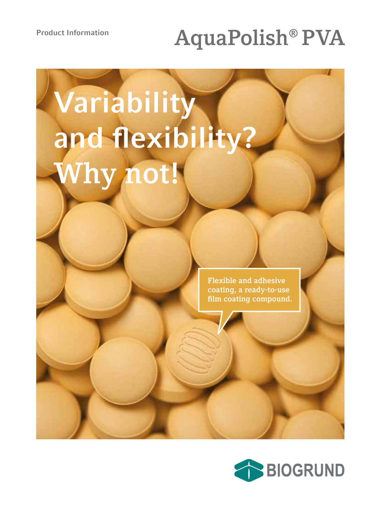## **Product Information AquaPolish® PVA**

# **Variability and flexibility? Why not!**

**Flexible and adhesive coating, a ready-to-use film coating compound.**